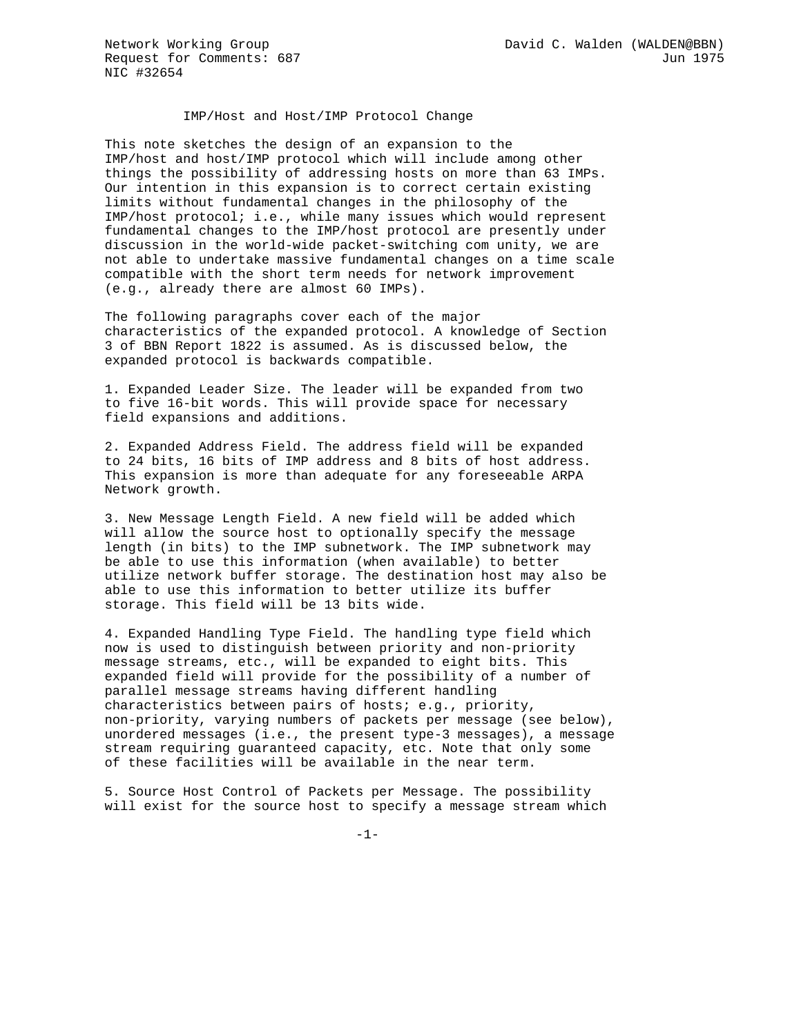IMP/Host and Host/IMP Protocol Change

This note sketches the design of an expansion to the IMP/host and host/IMP protocol which will include among other things the possibility of addressing hosts on more than 63 IMPs. Our intention in this expansion is to correct certain existing limits without fundamental changes in the philosophy of the IMP/host protocol; i.e., while many issues which would represent fundamental changes to the IMP/host protocol are presently under discussion in the world-wide packet-switching com unity, we are not able to undertake massive fundamental changes on a time scale compatible with the short term needs for network improvement (e.g., already there are almost 60 IMPs).

The following paragraphs cover each of the major characteristics of the expanded protocol. A knowledge of Section 3 of BBN Report 1822 is assumed. As is discussed below, the expanded protocol is backwards compatible.

1. Expanded Leader Size. The leader will be expanded from two to five 16-bit words. This will provide space for necessary field expansions and additions.

2. Expanded Address Field. The address field will be expanded to 24 bits, 16 bits of IMP address and 8 bits of host address. This expansion is more than adequate for any foreseeable ARPA Network growth.

3. New Message Length Field. A new field will be added which will allow the source host to optionally specify the message length (in bits) to the IMP subnetwork. The IMP subnetwork may be able to use this information (when available) to better utilize network buffer storage. The destination host may also be able to use this information to better utilize its buffer storage. This field will be 13 bits wide.

4. Expanded Handling Type Field. The handling type field which now is used to distinguish between priority and non-priority message streams, etc., will be expanded to eight bits. This expanded field will provide for the possibility of a number of parallel message streams having different handling characteristics between pairs of hosts; e.g., priority, non-priority, varying numbers of packets per message (see below), unordered messages (i.e., the present type-3 messages), a message stream requiring guaranteed capacity, etc. Note that only some of these facilities will be available in the near term.

5. Source Host Control of Packets per Message. The possibility will exist for the source host to specify a message stream which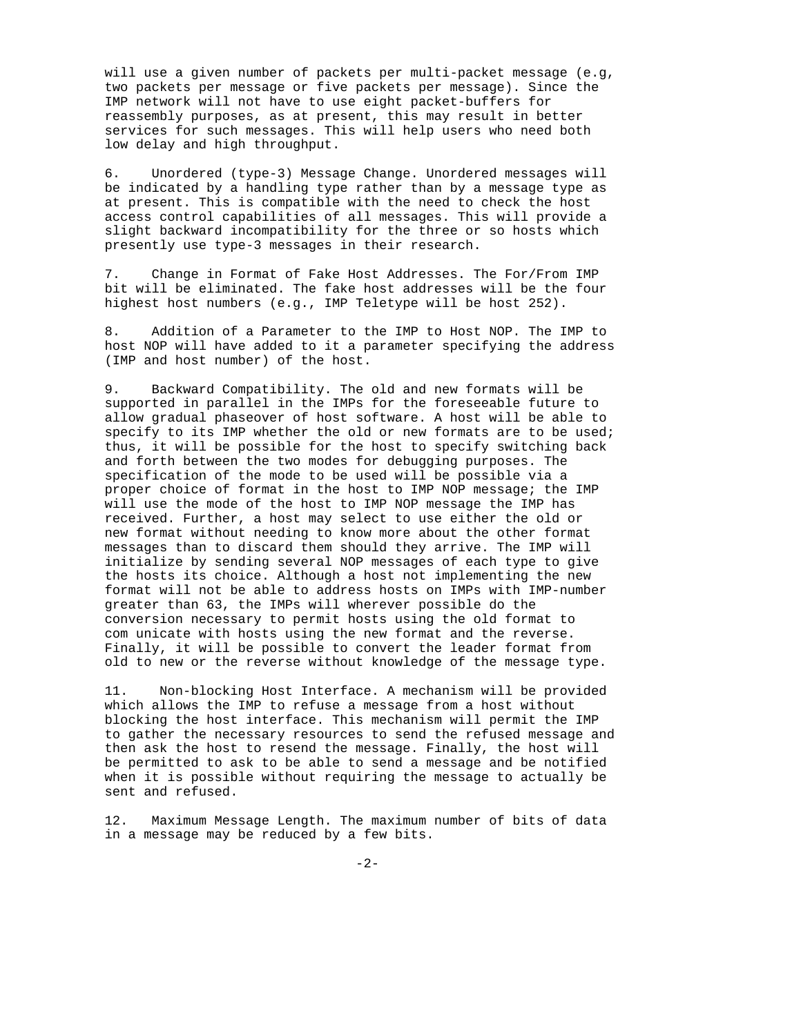will use a given number of packets per multi-packet message (e.g, two packets per message or five packets per message). Since the IMP network will not have to use eight packet-buffers for reassembly purposes, as at present, this may result in better services for such messages. This will help users who need both low delay and high throughput.

6. Unordered (type-3) Message Change. Unordered messages will be indicated by a handling type rather than by a message type as at present. This is compatible with the need to check the host access control capabilities of all messages. This will provide a slight backward incompatibility for the three or so hosts which presently use type-3 messages in their research.

7. Change in Format of Fake Host Addresses. The For/From IMP bit will be eliminated. The fake host addresses will be the four highest host numbers (e.g., IMP Teletype will be host 252).

8. Addition of a Parameter to the IMP to Host NOP. The IMP to host NOP will have added to it a parameter specifying the address (IMP and host number) of the host.

9. Backward Compatibility. The old and new formats will be supported in parallel in the IMPs for the foreseeable future to allow gradual phaseover of host software. A host will be able to specify to its IMP whether the old or new formats are to be used; thus, it will be possible for the host to specify switching back and forth between the two modes for debugging purposes. The specification of the mode to be used will be possible via a proper choice of format in the host to IMP NOP message; the IMP will use the mode of the host to IMP NOP message the IMP has received. Further, a host may select to use either the old or new format without needing to know more about the other format messages than to discard them should they arrive. The IMP will initialize by sending several NOP messages of each type to give the hosts its choice. Although a host not implementing the new format will not be able to address hosts on IMPs with IMP-number greater than 63, the IMPs will wherever possible do the conversion necessary to permit hosts using the old format to com unicate with hosts using the new format and the reverse. Finally, it will be possible to convert the leader format from old to new or the reverse without knowledge of the message type.

11. Non-blocking Host Interface. A mechanism will be provided which allows the IMP to refuse a message from a host without blocking the host interface. This mechanism will permit the IMP to gather the necessary resources to send the refused message and then ask the host to resend the message. Finally, the host will be permitted to ask to be able to send a message and be notified when it is possible without requiring the message to actually be sent and refused.

12. Maximum Message Length. The maximum number of bits of data in a message may be reduced by a few bits.